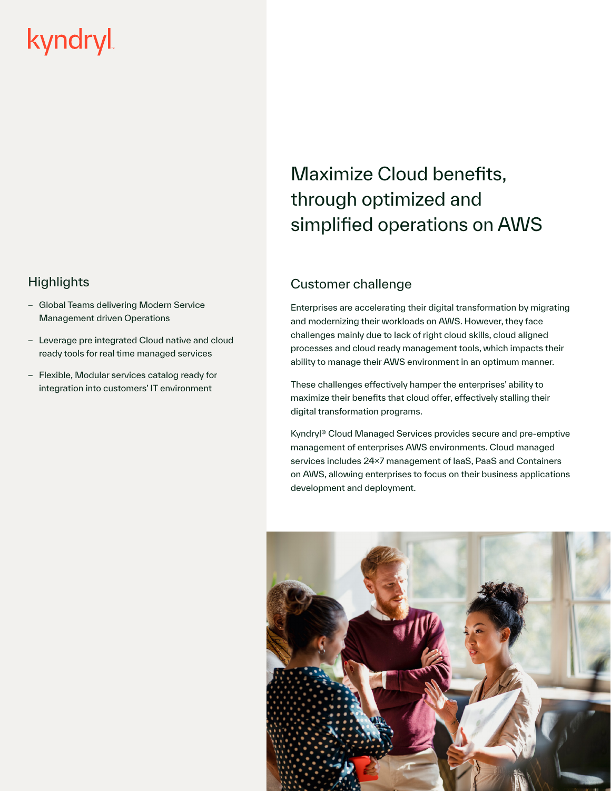# kyndryl

### **Highlights**

- Global Teams delivering Modern Service Management driven Operations
- Leverage pre integrated Cloud native and cloud ready tools for real time managed services
- Flexible, Modular services catalog ready for integration into customers' IT environment

# Maximize Cloud benefits, through optimized and simplified operations on AWS

## Customer challenge

Enterprises are accelerating their digital transformation by migrating and modernizing their workloads on AWS. However, they face challenges mainly due to lack of right cloud skills, cloud aligned processes and cloud ready management tools, which impacts their ability to manage their AWS environment in an optimum manner.

These challenges effectively hamper the enterprises' ability to maximize their benefits that cloud offer, effectively stalling their digital transformation programs.

Kyndryl® Cloud Managed Services provides secure and pre-emptive management of enterprises AWS environments. Cloud managed services includes 24x7 management of IaaS, PaaS and Containers on AWS, allowing enterprises to focus on their business applications development and deployment.